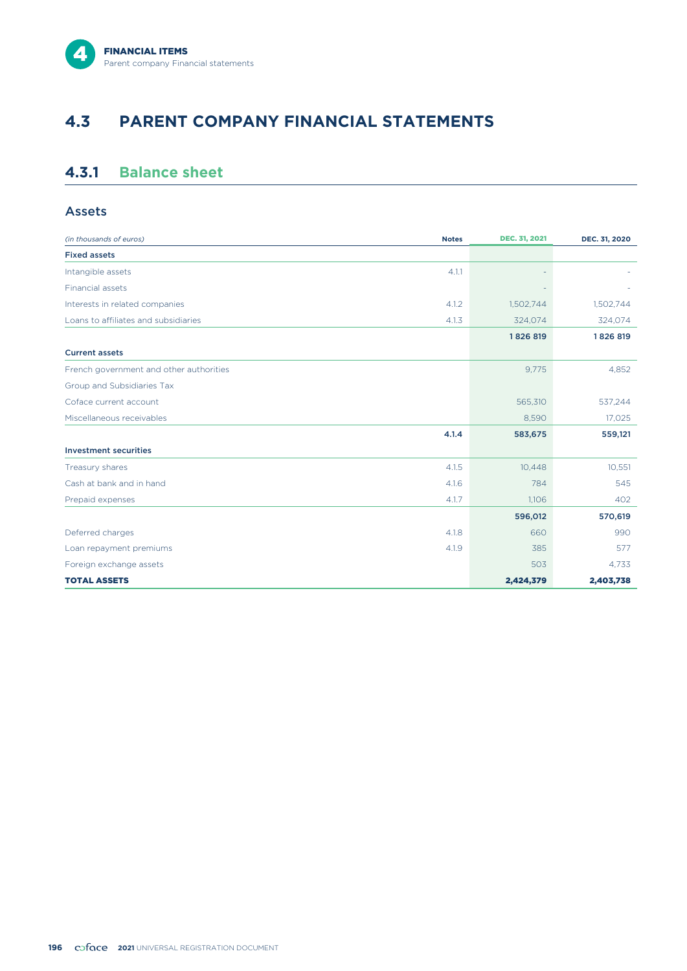# **4.3 PARENT COMPANY FINANCIAL STATEMENTS**

## **4.3.1 Balance sheet**

## Assets

| (in thousands of euros)                 | <b>Notes</b> | DEC. 31, 2021 | DEC. 31, 2020 |
|-----------------------------------------|--------------|---------------|---------------|
| <b>Fixed assets</b>                     |              |               |               |
| Intangible assets                       | 4.1.1        |               |               |
| Financial assets                        |              |               |               |
| Interests in related companies          | 4.1.2        | 1,502,744     | 1,502,744     |
| Loans to affiliates and subsidiaries    | 4.1.3        | 324,074       | 324,074       |
|                                         |              | 1826819       | 1826819       |
| <b>Current assets</b>                   |              |               |               |
| French government and other authorities |              | 9,775         | 4,852         |
| Group and Subsidiaries Tax              |              |               |               |
| Coface current account                  |              | 565,310       | 537,244       |
| Miscellaneous receivables               |              | 8,590         | 17,025        |
|                                         | 4.1.4        | 583,675       | 559,121       |
| <b>Investment securities</b>            |              |               |               |
| Treasury shares                         | 4.1.5        | 10,448        | 10,551        |
| Cash at bank and in hand                | 4.16         | 784           | 545           |
| Prepaid expenses                        | 4.1.7        | 1,106         | 402           |
|                                         |              | 596,012       | 570,619       |
| Deferred charges                        | 4.1.8        | 660           | 990           |
| Loan repayment premiums                 | 4.1.9        | 385           | 577           |
| Foreign exchange assets                 |              | 503           | 4,733         |
| <b>TOTAL ASSETS</b>                     |              | 2,424,379     | 2,403,738     |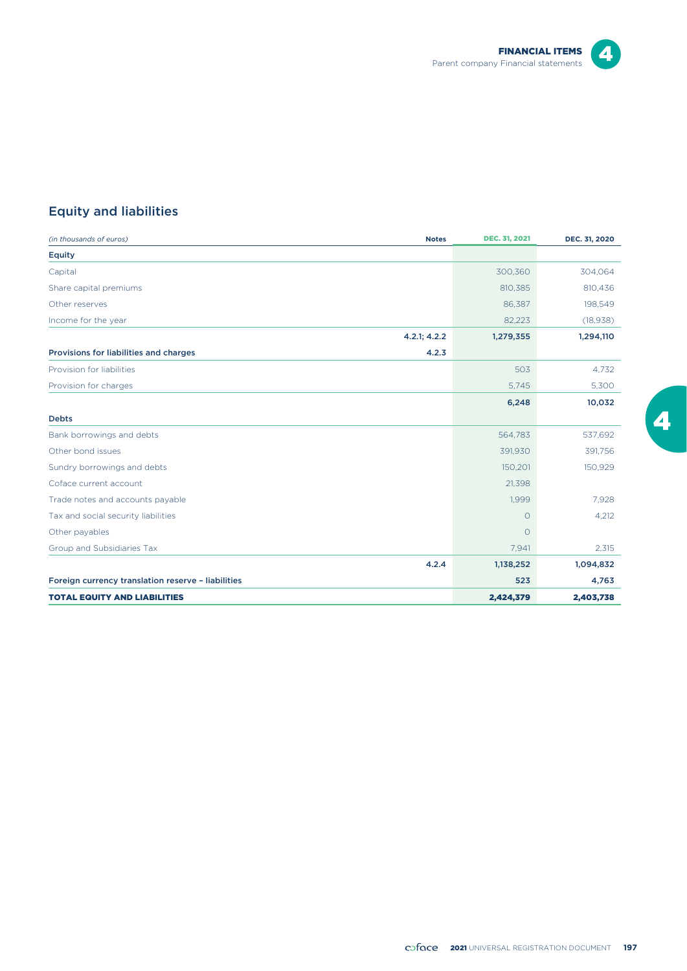

# $\overline{\mathbf{4}}$

# Equity and liabilities

| (in thousands of euros)<br><b>Notes</b>            | <b>DEC. 31, 2021</b> | DEC. 31, 2020 |
|----------------------------------------------------|----------------------|---------------|
| <b>Equity</b>                                      |                      |               |
| Capital                                            | 300,360              | 304,064       |
| Share capital premiums                             | 810,385              | 810,436       |
| Other reserves                                     | 86,387               | 198,549       |
| Income for the year                                | 82,223               | (18, 938)     |
| 4.2.1; 4.2.2                                       | 1,279,355            | 1,294,110     |
| Provisions for liabilities and charges<br>4.2.3    |                      |               |
| Provision for liabilities                          | 503                  | 4.732         |
| Provision for charges                              | 5,745                | 5,300         |
|                                                    | 6,248                | 10,032        |
| <b>Debts</b>                                       |                      |               |
| Bank borrowings and debts                          | 564,783              | 537,692       |
| Other bond issues                                  | 391,930              | 391,756       |
| Sundry borrowings and debts                        | 150,201              | 150,929       |
| Coface current account                             | 21,398               |               |
| Trade notes and accounts payable                   | 1,999                | 7,928         |
| Tax and social security liabilities                | $\circ$              | 4,212         |
| Other payables                                     | $\circ$              |               |
| Group and Subsidiaries Tax                         | 7,941                | 2,315         |
| 4.2.4                                              | 1,138,252            | 1,094,832     |
| Foreign currency translation reserve - liabilities | 523                  | 4,763         |
| <b>TOTAL EQUITY AND LIABILITIES</b>                | 2,424,379            | 2,403,738     |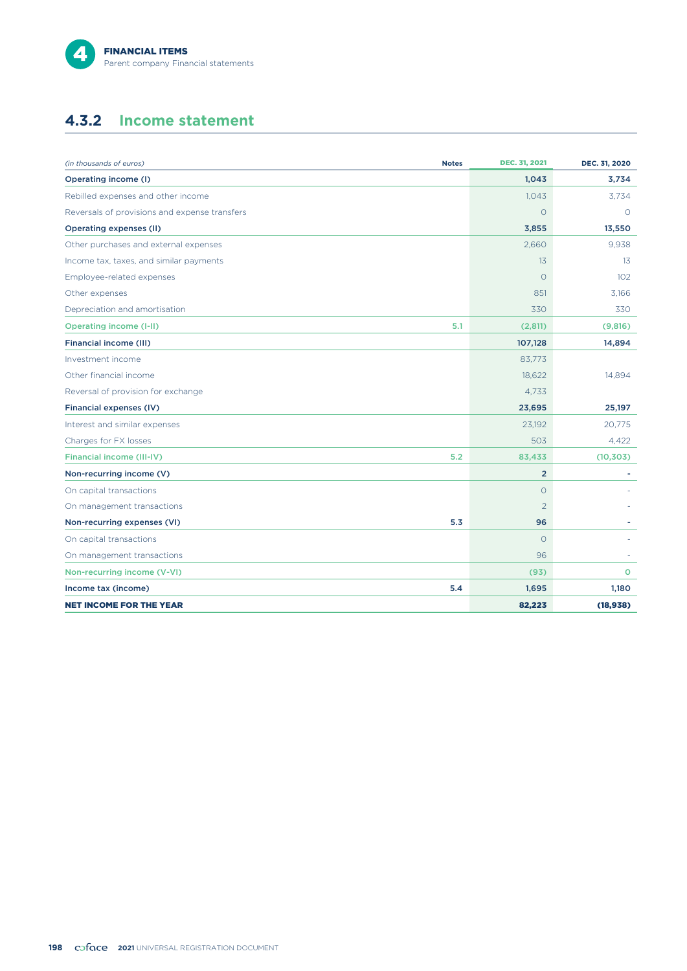

## **4.3.2 Income statement**

| (in thousands of euros)                       | <b>Notes</b> | <b>DEC. 31, 2021</b> | DEC. 31, 2020 |
|-----------------------------------------------|--------------|----------------------|---------------|
| Operating income (I)                          |              | 1,043                | 3,734         |
| Rebilled expenses and other income            |              | 1,043                | 3,734         |
| Reversals of provisions and expense transfers |              | $\Omega$             | $\Omega$      |
| <b>Operating expenses (II)</b>                |              | 3,855                | 13,550        |
| Other purchases and external expenses         |              | 2.660                | 9,938         |
| Income tax, taxes, and similar payments       |              | 13                   | 13            |
| Employee-related expenses                     |              | $\circ$              | 102           |
| Other expenses                                |              | 851                  | 3,166         |
| Depreciation and amortisation                 |              | 330                  | 330           |
| <b>Operating income (I-II)</b>                | 5.1          | (2,811)              | (9,816)       |
| <b>Financial income (III)</b>                 |              | 107,128              | 14,894        |
| Investment income                             |              | 83,773               |               |
| Other financial income                        |              | 18,622               | 14,894        |
| Reversal of provision for exchange            |              | 4.733                |               |
| Financial expenses (IV)                       |              | 23,695               | 25,197        |
| Interest and similar expenses                 |              | 23,192               | 20,775        |
| Charges for FX losses                         |              | 503                  | 4,422         |
| <b>Financial income (III-IV)</b>              | 5.2          | 83,433               | (10, 303)     |
| Non-recurring income (V)                      |              | $\overline{2}$       |               |
| On capital transactions                       |              | $\circ$              |               |
| On management transactions                    |              | $\overline{2}$       |               |
| Non-recurring expenses (VI)                   | 5.3          | 96                   |               |
| On capital transactions                       |              | $\circ$              |               |
| On management transactions                    |              | 96                   |               |
| Non-recurring income (V-VI)                   |              | (93)                 | $\circ$       |
| Income tax (income)                           | 5.4          | 1,695                | 1,180         |
| <b>NET INCOME FOR THE YEAR</b>                |              | 82,223               | (18,938)      |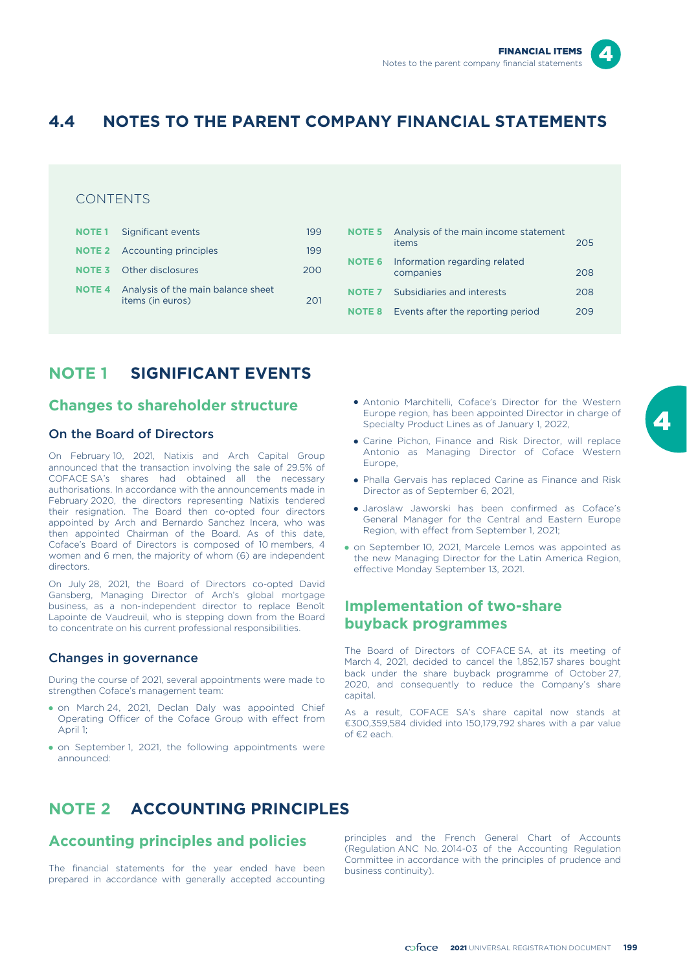

# **4.4 NOTES TO THE PARENT COMPANY FINANCIAL STATEMENTS**

## CONTENTS

| <b>NOTE 1</b> Significant events                                     | 199 |
|----------------------------------------------------------------------|-----|
| <b>NOTE 2</b> Accounting principles                                  | 199 |
| <b>NOTE 3</b> Other disclosures                                      | 200 |
| <b>NOTE 4</b> Analysis of the main balance sheet<br>items (in euros) | 201 |

# items 205 **NOTE 6** Information regarding related companies 208 **NOTE 7** Subsidiaries and interests 208 **NOTE 8** Events after the reporting period 209

**NOTE 5** Analysis of the main income statement

# **NOTE 1 SIGNIFICANT EVENTS**

## **Changes to shareholder structure**

#### On the Board of Directors

On February 10, 2021, Natixis and Arch Capital Group announced that the transaction involving the sale of 29.5% of COFACE SA's shares had obtained all the necessary authorisations. In accordance with the announcements made in February 2020, the directors representing Natixis tendered their resignation. The Board then co-opted four directors appointed by Arch and Bernardo Sanchez Incera, who was then appointed Chairman of the Board. As of this date, Coface's Board of Directors is composed of 10 members, 4 women and 6 men, the majority of whom (6) are independent directors.

On July 28, 2021, the Board of Directors co-opted David Gansberg, Managing Director of Arch's global mortgage business, as a non-independent director to replace Benoît Lapointe de Vaudreuil, who is stepping down from the Board to concentrate on his current professional responsibilities.

#### Changes in governance

During the course of 2021, several appointments were made to strengthen Coface's management team:

- on March 24, 2021, Declan Daly was appointed Chief Operating Officer of the Coface Group with effect from April 1;
- on September 1, 2021, the following appointments were announced:
- Antonio Marchitelli, Coface's Director for the Western Europe region, has been appointed Director in charge of Specialty Product Lines as of January 1, 2022,
- Carine Pichon, Finance and Risk Director, will replace Antonio as Managing Director of Coface Western Europe,
- Phalla Gervais has replaced Carine as Finance and Risk Director as of September 6, 2021,
- Jaroslaw Jaworski has been confirmed as Coface's General Manager for the Central and Eastern Europe Region, with effect from September 1, 2021;
- on September 10, 2021, Marcele Lemos was appointed as the new Managing Director for the Latin America Region, effective Monday September 13, 2021.

## **Implementation of two-share buyback programmes**

The Board of Directors of COFACE SA, at its meeting of March 4, 2021, decided to cancel the 1,852,157 shares bought back under the share buyback programme of October 27, 2020, and consequently to reduce the Company's share capital.

As a result, COFACE SA's share capital now stands at €300,359,584 divided into 150,179,792 shares with a par value of €2 each.

# **NOTE 2 ACCOUNTING PRINCIPLES**

The financial statements for the year ended have been Committee in accordance with the principles of prudence and prepared in accordance with generally accepted accounting

**Accounting principles and policies** principles and the French General Chart of Accounts (Regulation ANC No. 2014-03 of the Accounting Regulation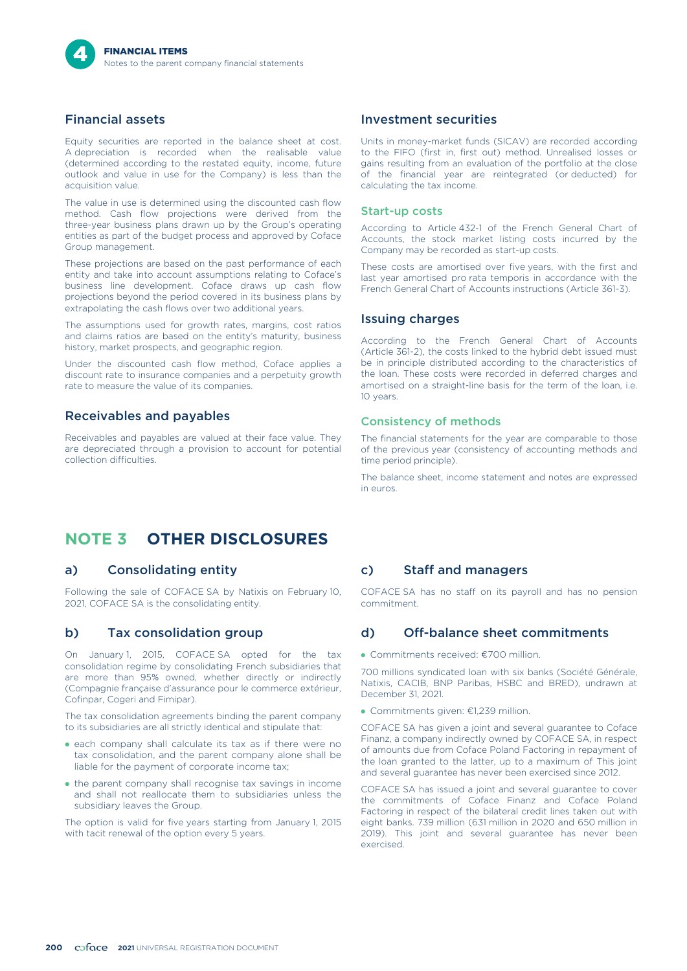## Financial assets

Equity securities are reported in the balance sheet at cost. A depreciation is recorded when the realisable value (determined according to the restated equity, income, future outlook and value in use for the Company) is less than the acquisition value.

The value in use is determined using the discounted cash flow method. Cash flow projections were derived from the three-year business plans drawn up by the Group's operating entities as part of the budget process and approved by Coface Group management.

These projections are based on the past performance of each entity and take into account assumptions relating to Coface's business line development. Coface draws up cash flow projections beyond the period covered in its business plans by extrapolating the cash flows over two additional years.

The assumptions used for growth rates, margins, cost ratios and claims ratios are based on the entity's maturity, business history, market prospects, and geographic region.

Under the discounted cash flow method, Coface applies a discount rate to insurance companies and a perpetuity growth rate to measure the value of its companies.

#### Receivables and payables

Receivables and payables are valued at their face value. They are depreciated through a provision to account for potential collection difficulties.

## Investment securities

Units in money-market funds (SICAV) are recorded according to the FIFO (first in, first out) method. Unrealised losses or gains resulting from an evaluation of the portfolio at the close of the financial year are reintegrated (or deducted) for calculating the tax income.

#### Start-up costs

According to Article 432-1 of the French General Chart of Accounts, the stock market listing costs incurred by the Company may be recorded as start-up costs.

These costs are amortised over five years, with the first and last year amortised pro rata temporis in accordance with the French General Chart of Accounts instructions (Article 361-3).

#### Issuing charges

According to the French General Chart of Accounts (Article 361-2), the costs linked to the hybrid debt issued must be in principle distributed according to the characteristics of the loan. These costs were recorded in deferred charges and amortised on a straight-line basis for the term of the loan, i.e. 10 years.

#### Consistency of methods

The financial statements for the year are comparable to those of the previous year (consistency of accounting methods and time period principle).

The balance sheet, income statement and notes are expressed in euros.

# **NOTE 3 OTHER DISCLOSURES**

## a) Consolidating entity

Following the sale of COFACE SA by Natixis on February 10, 2021, COFACE SA is the consolidating entity.

## b) Tax consolidation group

On January 1, 2015, COFACE SA opted for the tax consolidation regime by consolidating French subsidiaries that are more than 95% owned, whether directly or indirectly (Compagnie française d'assurance pour le commerce extérieur, Cofinpar, Cogeri and Fimipar).

The tax consolidation agreements binding the parent company to its subsidiaries are all strictly identical and stipulate that:

- each company shall calculate its tax as if there were no tax consolidation, and the parent company alone shall be liable for the payment of corporate income tax;
- the parent company shall recognise tax savings in income and shall not reallocate them to subsidiaries unless the subsidiary leaves the Group.

The option is valid for five years starting from January 1, 2015 with tacit renewal of the option every 5 years.

## c) Staff and managers

COFACE SA has no staff on its payroll and has no pension commitment.

## d) Off-balance sheet commitments

• Commitments received: €700 million.

700 millions syndicated loan with six banks (Société Générale, Natixis, CACIB, BNP Paribas, HSBC and BRED), undrawn at December 31, 2021.

• Commitments given: €1,239 million.

COFACE SA has given a joint and several guarantee to Coface Finanz, a company indirectly owned by COFACE SA, in respect of amounts due from Coface Poland Factoring in repayment of the loan granted to the latter, up to a maximum of This joint and several guarantee has never been exercised since 2012.

COFACE SA has issued a joint and several guarantee to cover the commitments of Coface Finanz and Coface Poland Factoring in respect of the bilateral credit lines taken out with eight banks. 739 million (631 million in 2020 and 650 million in 2019). This joint and several guarantee has never been exercised.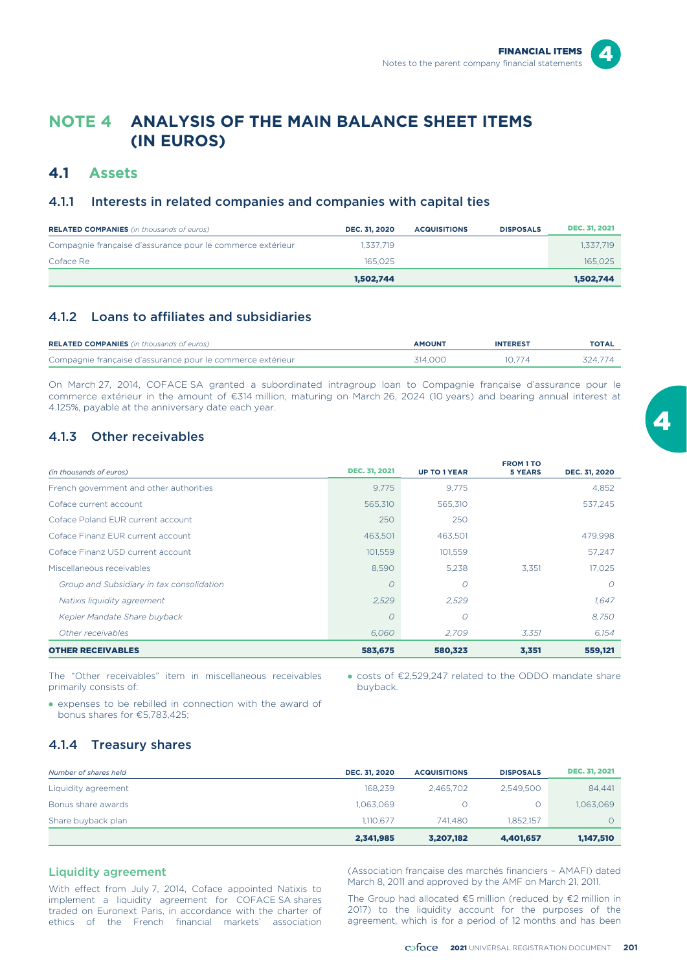# **NOTE 4 ANALYSIS OF THE MAIN BALANCE SHEET ITEMS (IN EUROS)**

## **4.1 Assets**

## 4.1.1 Interests in related companies and companies with capital ties

| <b>RELATED COMPANIES</b> (in thousands of euros)           | <b>DEC. 31, 2020</b> | <b>ACQUISITIONS</b> | <b>DISPOSALS</b> | <b>DEC. 31, 2021</b> |
|------------------------------------------------------------|----------------------|---------------------|------------------|----------------------|
| Compagnie française d'assurance pour le commerce extérieur | 1.337.719            |                     |                  | 1.337.719            |
| Coface Re                                                  | 165,025              |                     |                  | 165.025              |
|                                                            | 1.502.744            |                     |                  | 1,502,744            |

## 4.1.2 Loans to affiliates and subsidiaries

| <b>RELATED COMPANIES</b> (in thousands of euros)           | <b>AMOUNT</b> | <b>INTEREST</b> | <b>TOTAL</b> |
|------------------------------------------------------------|---------------|-----------------|--------------|
| Compagnie française d'assurance pour le commerce extérieur | 314,000       | 10.774          | 324.774      |

On March 27, 2014, COFACE SA granted a subordinated intragroup loan to Compagnie française d'assurance pour le commerce extérieur in the amount of €314 million, maturing on March 26, 2024 (10 years) and bearing annual interest at 4.125%, payable at the anniversary date each year.

## 4.1.3 Other receivables

| (in thousands of euros)                   | <b>DEC. 31, 2021</b> | <b>UP TO 1 YEAR</b> | <b>FROM 1 TO</b><br><b>5 YEARS</b> | DEC. 31, 2020 |
|-------------------------------------------|----------------------|---------------------|------------------------------------|---------------|
| French government and other authorities   | 9.775                | 9.775               |                                    | 4,852         |
| Coface current account                    | 565,310              | 565,310             |                                    | 537.245       |
| Coface Poland FUR current account         | 250                  | 250                 |                                    |               |
| Coface Finanz FUR current account         | 463,501              | 463,501             |                                    | 479,998       |
| Coface Finanz USD current account         | 101,559              | 101,559             |                                    | 57,247        |
| Miscellaneous receivables                 | 8.590                | 5.238               | 3.351                              | 17.025        |
| Group and Subsidiary in tax consolidation | $\Omega$             | $\overline{O}$      |                                    | $\Omega$      |
| Natixis liquidity agreement               | 2,529                | 2,529               |                                    | 1,647         |
| Kepler Mandate Share buyback              | $\Omega$             | 0                   |                                    | 8,750         |
| Other receivables                         | 6.060                | 2.709               | 3.351                              | 6,154         |
| <b>OTHER RECEIVABLES</b>                  | 583,675              | 580,323             | 3,351                              | 559,121       |

The "Other receivables" item in miscellaneous receivables primarily consists of:

• costs of €2,529,247 related to the ODDO mandate share buyback.

• expenses to be rebilled in connection with the award of bonus shares for €5,783,425;

## 4.1.4 Treasury shares

| Number of shares held | DEC. 31, 2020 | <b>ACQUISITIONS</b> | <b>DISPOSALS</b> | <b>DEC. 31, 2021</b> |
|-----------------------|---------------|---------------------|------------------|----------------------|
| Liquidity agreement   | 168.239       | 2.465.702           | 2.549.500        | 84,441               |
| Bonus share awards    | 1,063,069     |                     | 0                | 1,063,069            |
| Share buyback plan    | 1.110.677     | 741.480             | 1.852.157        | 0                    |
|                       | 2,341,985     | 3,207,182           | 4,401,657        | 1,147,510            |

With effect from July 7, 2014, Coface appointed Natixis to implement a liquidity agreement for COFACE SA shares traded on Euronext Paris, in accordance with the charter of ethics of the French financial markets' association

Liquidity agreement (Association française des marchés financiers – AMAFI) dated<br>March 8, 2011 and approved by the AMF on March 21, 2011.

The Group had allocated €5 million (reduced by €2 million in 2017) to the liquidity account for the purposes of the agreement, which is for a period of 12 months and has been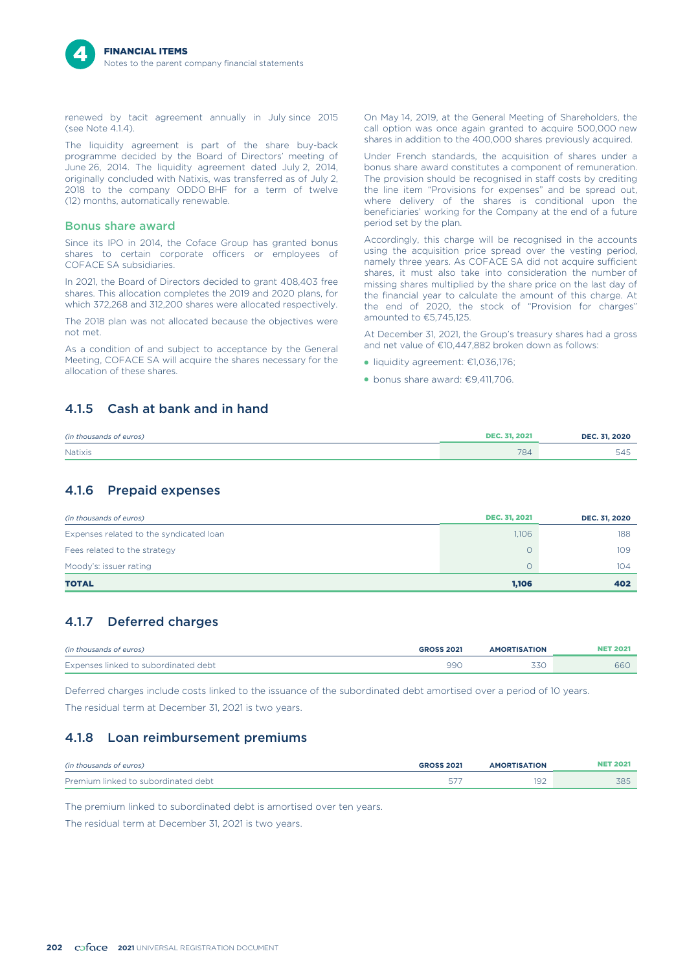renewed by tacit agreement annually in July since 2015  $(see Note 414)$ 

The liquidity agreement is part of the share buy-back programme decided by the Board of Directors' meeting of June 26, 2014. The liquidity agreement dated July 2, 2014, originally concluded with Natixis, was transferred as of July 2, 2018 to the company ODDO BHF for a term of twelve (12) months, automatically renewable.

#### Bonus share award

Since its IPO in 2014, the Coface Group has granted bonus shares to certain corporate officers or employees of COFACE SA subsidiaries.

In 2021, the Board of Directors decided to grant 408,403 free shares. This allocation completes the 2019 and 2020 plans, for which 372,268 and 312,200 shares were allocated respectively.

The 2018 plan was not allocated because the objectives were not met.

As a condition of and subject to acceptance by the General Meeting, COFACE SA will acquire the shares necessary for the allocation of these shares.

On May 14, 2019, at the General Meeting of Shareholders, the call option was once again granted to acquire 500,000 new shares in addition to the 400,000 shares previously acquired.

Under French standards, the acquisition of shares under a bonus share award constitutes a component of remuneration. The provision should be recognised in staff costs by crediting the line item "Provisions for expenses" and be spread out, where delivery of the shares is conditional upon the beneficiaries' working for the Company at the end of a future period set by the plan.

Accordingly, this charge will be recognised in the accounts using the acquisition price spread over the vesting period, namely three years. As COFACE SA did not acquire sufficient shares, it must also take into consideration the number of missing shares multiplied by the share price on the last day of the financial year to calculate the amount of this charge. At the end of 2020, the stock of "Provision for charges" amounted to €5,745,125.

At December 31, 2021, the Group's treasury shares had a gross and net value of €10,447,882 broken down as follows:

- liquidity agreement: €1,036,176;
- bonus share award: €9,411,706.

## 4.1.5 Cash at bank and in hand

| (in thousands of euros) | <b>DEC. 31, 2021</b> | DEC. 31, 2020 |
|-------------------------|----------------------|---------------|
| Natixis                 | 784                  | 54:           |

## 4.1.6 Prepaid expenses

| (in thousands of euros)                 | <b>DEC. 31, 2021</b> | DEC. 31, 2020 |
|-----------------------------------------|----------------------|---------------|
| Expenses related to the syndicated loan | 1,106                | 188           |
| Fees related to the strategy            |                      | 109           |
| Moody's: issuer rating                  |                      | 104           |
| <b>TOTAL</b>                            | 1,106                | 402           |

## 4.1.7 Deferred charges

| (in thousands of euros)              | <b>GROSS 2021</b> | <b>AMORTISATION</b> |     |
|--------------------------------------|-------------------|---------------------|-----|
| Expenses linked to subordinated debt | 99C               | 33C                 | 960 |

Deferred charges include costs linked to the issuance of the subordinated debt amortised over a period of 10 years. The residual term at December 31, 2021 is two years.

## 4.1.8 Loan reimbursement premiums

| (in thousands of euros)             | <b>GROSS 2021</b> | <b>AMORTISATION</b> | ` 202.     |
|-------------------------------------|-------------------|---------------------|------------|
| Premium linked to subordinated debt |                   | ۹î<br>◡             | <b>ZOE</b> |

The premium linked to subordinated debt is amortised over ten years. The residual term at December 31, 2021 is two years.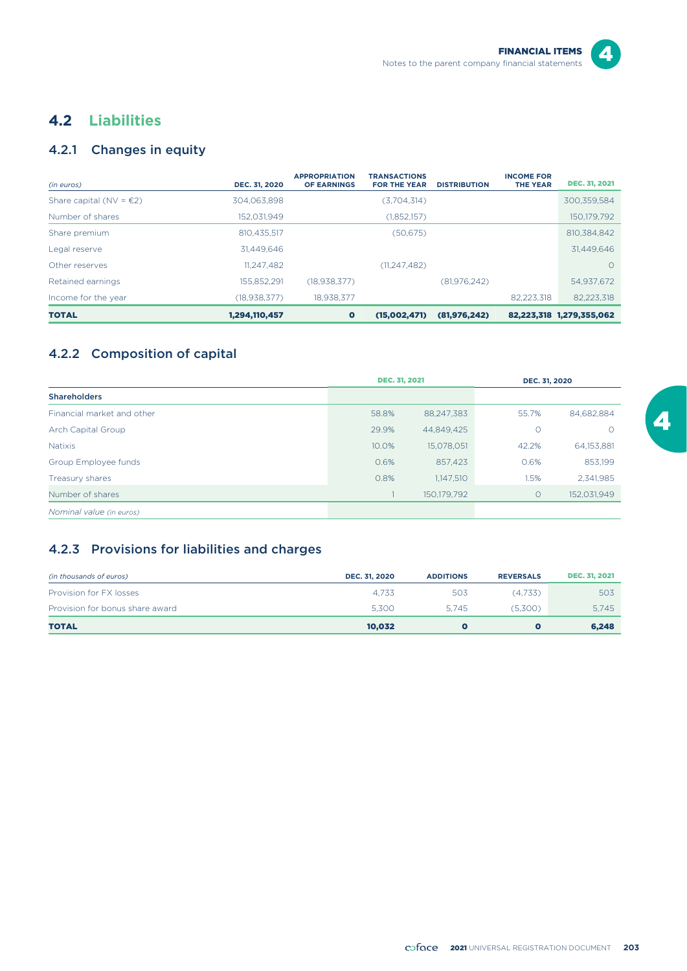

# **4.2 Liabilities**

# 4.2.1 Changes in equity

| (in euros)                        | DEC. 31, 2020  | <b>APPROPRIATION</b><br><b>OF EARNINGS</b> | <b>TRANSACTIONS</b><br><b>FOR THE YEAR</b> | <b>DISTRIBUTION</b> | <b>INCOME FOR</b><br><b>THE YEAR</b> | <b>DEC. 31, 2021</b>     |
|-----------------------------------|----------------|--------------------------------------------|--------------------------------------------|---------------------|--------------------------------------|--------------------------|
| Share capital (NV = $\epsilon$ 2) | 304.063.898    |                                            | (3,704,314)                                |                     |                                      | 300.359.584              |
| Number of shares                  | 152.031.949    |                                            | (1,852,157)                                |                     |                                      | 150.179.792              |
| Share premium                     | 810.435.517    |                                            | (50, 675)                                  |                     |                                      | 810.384.842              |
| Legal reserve                     | 31.449.646     |                                            |                                            |                     |                                      | 31,449,646               |
| Other reserves                    | 11,247,482     |                                            | (11, 247, 482)                             |                     |                                      | $\Omega$                 |
| Retained earnings                 | 155.852.291    | (18.938.377)                               |                                            | (81,976,242)        |                                      | 54,937,672               |
| Income for the year               | (18, 938, 377) | 18.938.377                                 |                                            |                     | 82.223.318                           | 82,223,318               |
| <b>TOTAL</b>                      | 1,294,110,457  | $\bullet$                                  | (15,002,471)                               | (81, 976, 242)      |                                      | 82,223,318 1,279,355,062 |

## 4.2.2 Composition of capital

|                            | <b>DEC. 31, 2021</b> |             | DEC. 31, 2020 |             |
|----------------------------|----------------------|-------------|---------------|-------------|
| <b>Shareholders</b>        |                      |             |               |             |
| Financial market and other | 58.8%                | 88,247,383  | 55.7%         | 84.682.884  |
| Arch Capital Group         | 29.9%                | 44.849.425  | $\circ$       | $\Omega$    |
| <b>Natixis</b>             | 10.0%                | 15,078,051  | 42.2%         | 64,153,881  |
| Group Employee funds       | 0.6%                 | 857,423     | 0.6%          | 853,199     |
| Treasury shares            | 0.8%                 | 1,147,510   | 1.5%          | 2.341.985   |
| Number of shares           |                      | 150,179,792 | $\circ$       | 152,031,949 |
| Nominal value (in euros)   |                      |             |               |             |

## 4.2.3 Provisions for liabilities and charges

| (in thousands of euros)         | DEC. 31, 2020 | <b>ADDITIONS</b> | <b>REVERSALS</b> | <b>DEC. 31, 2021</b> |
|---------------------------------|---------------|------------------|------------------|----------------------|
| Provision for FX losses         | 4.733         | 503              | (4.733)          | 503                  |
| Provision for bonus share award | 5.300         | 5.745            | (5.300)          | 5.745                |
| <b>TOTAL</b>                    | 10.032        |                  |                  | 6,248                |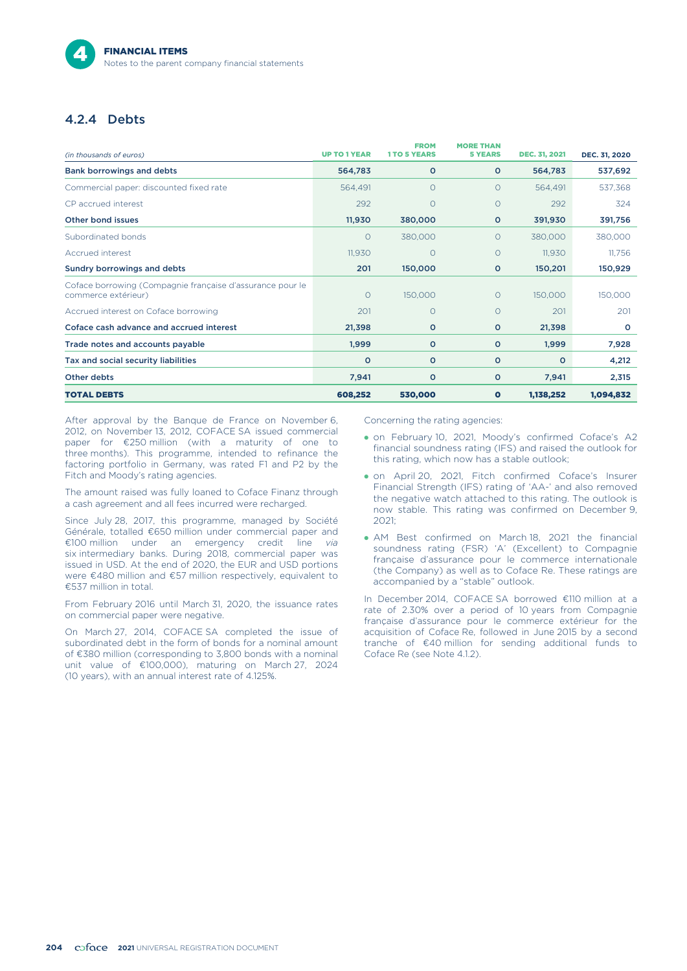## 4.2.4 Debts

| (in thousands of euros)                                                          | <b>UP TO 1 YEAR</b> | <b>FROM</b><br><b>1TO 5 YEARS</b> | <b>MORE THAN</b><br><b>5 YEARS</b> | <b>DEC. 31, 2021</b> | DEC. 31, 2020 |
|----------------------------------------------------------------------------------|---------------------|-----------------------------------|------------------------------------|----------------------|---------------|
| <b>Bank borrowings and debts</b>                                                 | 564,783             | $\circ$                           | $\circ$                            | 564,783              | 537,692       |
| Commercial paper: discounted fixed rate                                          | 564,491             | $\circ$                           | $\circ$                            | 564,491              | 537,368       |
| CP accrued interest                                                              | 292                 | $\circ$                           | $\circ$                            | 292                  | 324           |
| Other bond issues                                                                | 11,930              | 380,000                           | $\circ$                            | 391,930              | 391,756       |
| Subordinated bonds                                                               | $\circ$             | 380,000                           | $\Omega$                           | 380,000              | 380,000       |
| Accrued interest                                                                 | 11,930              | $\circ$                           | $\circ$                            | 11,930               | 11,756        |
| Sundry borrowings and debts                                                      | 201                 | 150,000                           | $\circ$                            | 150,201              | 150,929       |
| Coface borrowing (Compagnie française d'assurance pour le<br>commerce extérieur) | $\circ$             | 150,000                           | $\circ$                            | 150,000              | 150,000       |
| Accrued interest on Coface borrowing                                             | 201                 | $\circ$                           | $\circ$                            | 201                  | 201           |
| Coface cash advance and accrued interest                                         | 21,398              | $\circ$                           | $\circ$                            | 21,398               | $\circ$       |
| Trade notes and accounts payable                                                 | 1,999               | $\circ$                           | $\circ$                            | 1,999                | 7,928         |
| Tax and social security liabilities                                              | $\circ$             | $\circ$                           | $\circ$                            | $\circ$              | 4,212         |
| Other debts                                                                      | 7,941               | $\circ$                           | $\circ$                            | 7,941                | 2,315         |
| <b>TOTAL DEBTS</b>                                                               | 608,252             | 530,000                           | $\bullet$                          | 1,138,252            | 1,094,832     |

After approval by the Banque de France on November 6, 2012, on November 13, 2012, COFACE SA issued commercial paper for €250 million (with a maturity of one to three months). This programme, intended to refinance the factoring portfolio in Germany, was rated F1 and P2 by the Fitch and Moody's rating agencies.

The amount raised was fully loaned to Coface Finanz through a cash agreement and all fees incurred were recharged.

Since July 28, 2017, this programme, managed by Société Générale, totalled €650 million under commercial paper and €100 million under an emergency credit line *via* six intermediary banks. During 2018, commercial paper was issued in USD. At the end of 2020, the EUR and USD portions were €480 million and €57 million respectively, equivalent to €537 million in total.

From February 2016 until March 31, 2020, the issuance rates on commercial paper were negative.

On March 27, 2014, COFACE SA completed the issue of subordinated debt in the form of bonds for a nominal amount of €380 million (corresponding to 3,800 bonds with a nominal unit value of €100,000), maturing on March 27, 2024 (10 years), with an annual interest rate of 4.125%.

Concerning the rating agencies:

- on February 10, 2021, Moody's confirmed Coface's A2 financial soundness rating (IFS) and raised the outlook for this rating, which now has a stable outlook;
- on April 20, 2021, Fitch confirmed Coface's Insurer Financial Strength (IFS) rating of 'AA-' and also removed the negative watch attached to this rating. The outlook is now stable. This rating was confirmed on December 9, 2021;
- AM Best confirmed on March 18, 2021 the financial soundness rating (FSR) 'A' (Excellent) to Compagnie française d'assurance pour le commerce internationale (the Company) as well as to Coface Re. These ratings are accompanied by a "stable" outlook.

In December 2014, COFACE SA borrowed €110 million at a rate of 2.30% over a period of 10 years from Compagnie française d'assurance pour le commerce extérieur for the acquisition of Coface Re, followed in June 2015 by a second tranche of €40 million for sending additional funds to Coface Re (see Note 4.1.2).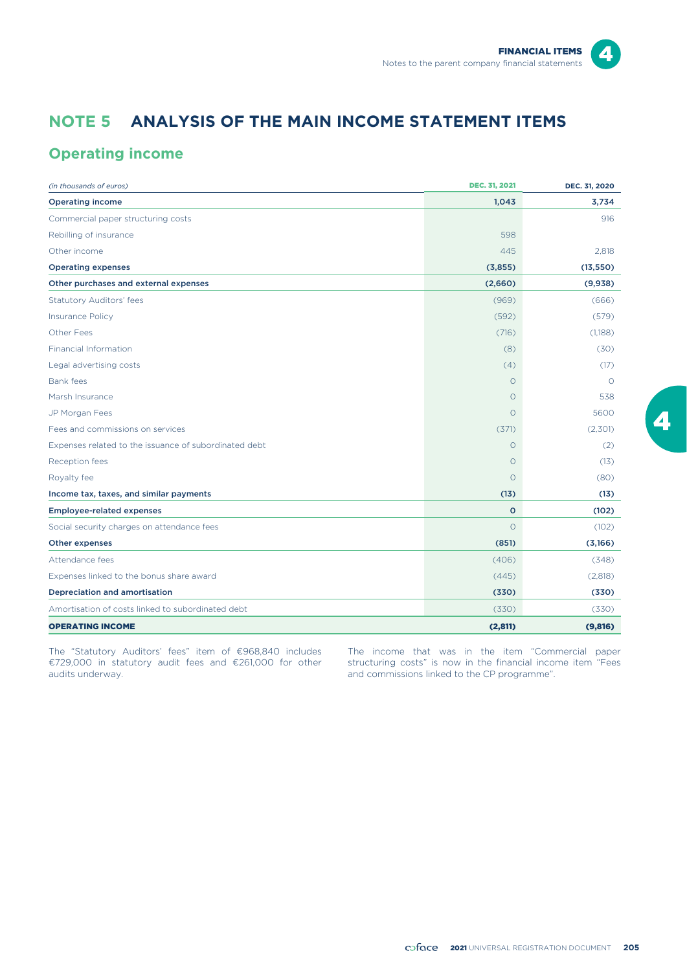$\boldsymbol{\Lambda}$ 

# **NOTE 5 ANALYSIS OF THE MAIN INCOME STATEMENT ITEMS**

# **Operating income**

| (in thousands of euros)                               | <b>DEC. 31, 2021</b> | DEC. 31, 2020 |
|-------------------------------------------------------|----------------------|---------------|
| <b>Operating income</b>                               | 1,043                | 3,734         |
| Commercial paper structuring costs                    |                      | 916           |
| Rebilling of insurance                                | 598                  |               |
| Other income                                          | 445                  | 2.818         |
| <b>Operating expenses</b>                             | (3,855)              | (13, 550)     |
| Other purchases and external expenses                 | (2,660)              | (9,938)       |
| <b>Statutory Auditors' fees</b>                       | (969)                | (666)         |
| <b>Insurance Policy</b>                               | (592)                | (579)         |
| <b>Other Fees</b>                                     | (716)                | (1,188)       |
| <b>Financial Information</b>                          | (8)                  | (30)          |
| Legal advertising costs                               | (4)                  | (17)          |
| Bank fees                                             | $\circ$              | $\Omega$      |
| Marsh Insurance                                       | $\circ$              | 538           |
| JP Morgan Fees                                        | $\Omega$             | 5600          |
| Fees and commissions on services                      | (371)                | (2,301)       |
| Expenses related to the issuance of subordinated debt | $\circ$              | (2)           |
| Reception fees                                        | $\circ$              | (13)          |
| Royalty fee                                           | $\circ$              | (80)          |
| Income tax, taxes, and similar payments               | (13)                 | (13)          |
| <b>Employee-related expenses</b>                      | $\circ$              | (102)         |
| Social security charges on attendance fees            | $\circ$              | (102)         |
| Other expenses                                        | (851)                | (3,166)       |
| Attendance fees                                       | (406)                | (348)         |
| Expenses linked to the bonus share award              | (445)                | (2,818)       |
| Depreciation and amortisation                         | (330)                | (330)         |
| Amortisation of costs linked to subordinated debt     | (330)                | (330)         |
| <b>OPERATING INCOME</b>                               | (2,811)              | (9,816)       |

The "Statutory Auditors' fees" item of €968,840 includes €729,000 in statutory audit fees and €261,000 for other audits underway.

The income that was in the item "Commercial paper structuring costs" is now in the financial income item "Fees and commissions linked to the CP programme".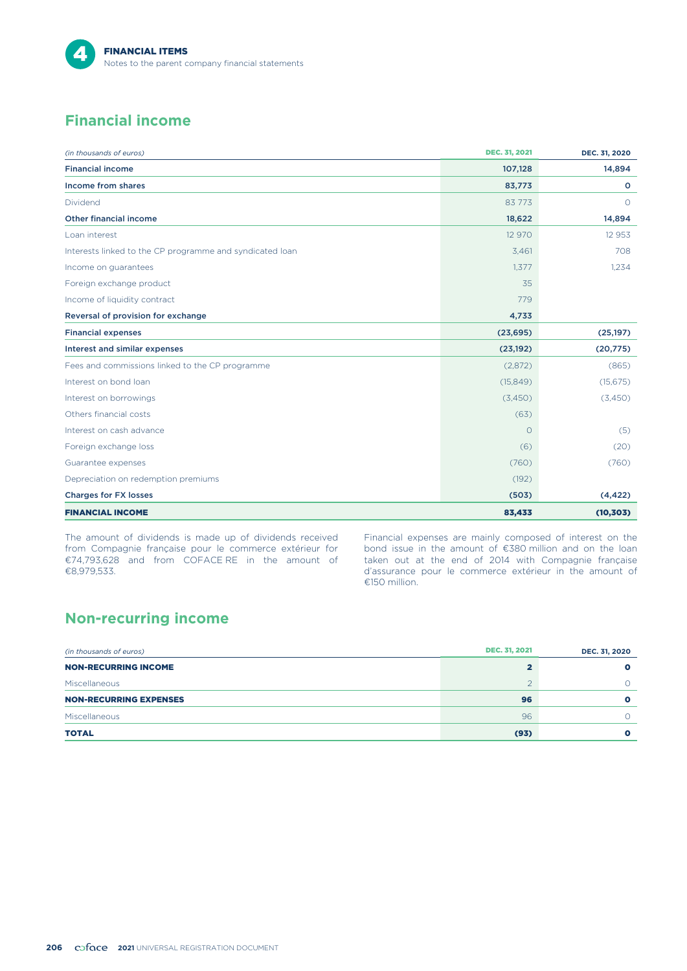

# **Financial income**

| (in thousands of euros)                                  | DEC. 31, 2021 | DEC. 31, 2020 |
|----------------------------------------------------------|---------------|---------------|
| <b>Financial income</b>                                  | 107,128       | 14,894        |
| <b>Income from shares</b>                                | 83,773        | $\circ$       |
| Dividend                                                 | 83773         | $\Omega$      |
| <b>Other financial income</b>                            | 18,622        | 14,894        |
| Loan interest                                            | 12 970        | 12 9 5 3      |
| Interests linked to the CP programme and syndicated loan | 3,461         | 708           |
| Income on guarantees                                     | 1,377         | 1,234         |
| Foreign exchange product                                 | 35            |               |
| Income of liquidity contract                             | 779           |               |
| Reversal of provision for exchange                       | 4,733         |               |
| <b>Financial expenses</b>                                | (23, 695)     | (25, 197)     |
| Interest and similar expenses                            | (23, 192)     | (20, 775)     |
| Fees and commissions linked to the CP programme          | (2,872)       | (865)         |
| Interest on bond loan                                    | (15, 849)     | (15, 675)     |
| Interest on borrowings                                   | (3,450)       | (3,450)       |
| Others financial costs                                   | (63)          |               |
| Interest on cash advance                                 | $\circ$       | (5)           |
| Foreign exchange loss                                    | (6)           | (20)          |
| Guarantee expenses                                       | (760)         | (760)         |
| Depreciation on redemption premiums                      | (192)         |               |
| <b>Charges for FX losses</b>                             | (503)         | (4, 422)      |
| <b>FINANCIAL INCOME</b>                                  | 83,433        | (10, 303)     |

The amount of dividends is made up of dividends received from Compagnie française pour le commerce extérieur for €74,793,628 and from COFACE RE in the amount of €8,979,533.

Financial expenses are mainly composed of interest on the bond issue in the amount of €380 million and on the loan taken out at the end of 2014 with Compagnie française d'assurance pour le commerce extérieur in the amount of €150 million.

# **Non-recurring income**

| (in thousands of euros)       | <b>DEC. 31, 2021</b> | DEC. 31, 2020 |
|-------------------------------|----------------------|---------------|
| <b>NON-RECURRING INCOME</b>   |                      |               |
| Miscellaneous                 |                      |               |
| <b>NON-RECURRING EXPENSES</b> | 96                   |               |
| Miscellaneous                 | 96                   |               |
| <b>TOTAL</b>                  | (93)                 |               |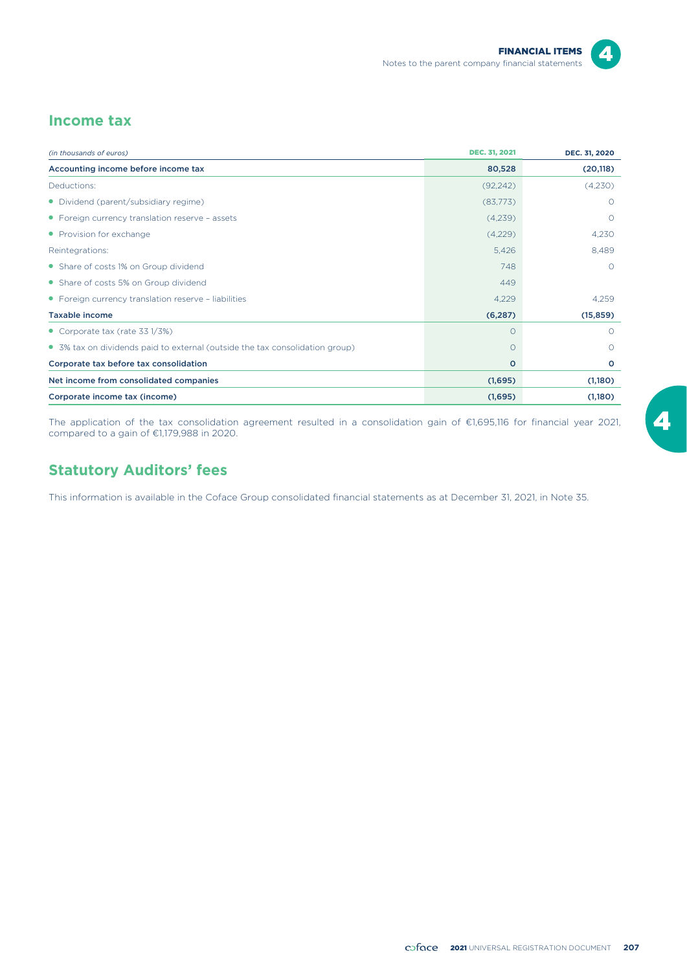

# **Income tax**

| (in thousands of euros)                                                      | <b>DEC. 31, 2021</b> | DEC. 31, 2020 |
|------------------------------------------------------------------------------|----------------------|---------------|
| Accounting income before income tax                                          | 80,528               | (20, 118)     |
| Deductions:                                                                  | (92, 242)            | (4,230)       |
| • Dividend (parent/subsidiary regime)                                        | (83,773)             | $\Omega$      |
| • Foreign currency translation reserve - assets                              | (4,239)              | $\Omega$      |
| • Provision for exchange                                                     | (4,229)              | 4,230         |
| Reintegrations:                                                              | 5,426                | 8,489         |
| • Share of costs 1% on Group dividend                                        | 748                  | $\Omega$      |
| • Share of costs 5% on Group dividend                                        | 449                  |               |
| • Foreign currency translation reserve - liabilities                         | 4,229                | 4,259         |
| <b>Taxable income</b>                                                        | (6, 287)             | (15, 859)     |
| • Corporate tax (rate $331/3\%)$                                             | $\circ$              | $\Omega$      |
| • 3% tax on dividends paid to external (outside the tax consolidation group) | $\circ$              | $\Omega$      |
| Corporate tax before tax consolidation                                       | o                    | $\circ$       |
| Net income from consolidated companies                                       | (1,695)              | (1,180)       |
| Corporate income tax (income)                                                | (1,695)              | (1,180)       |

The application of the tax consolidation agreement resulted in a consolidation gain of €1,695,116 for financial year 2021, compared to a gain of €1,179,988 in 2020.

# **Statutory Auditors' fees**

This information is available in the Coface Group consolidated financial statements as at December 31, 2021, in Note 35.